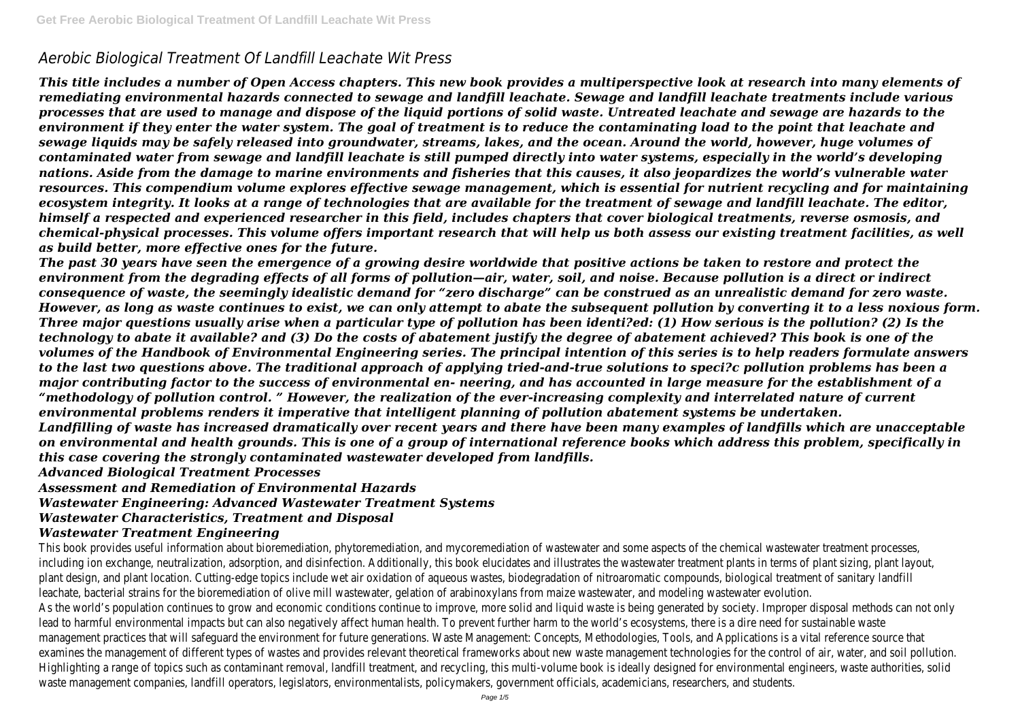# *Aerobic Biological Treatment Of Landfill Leachate Wit Press*

*This title includes a number of Open Access chapters. This new book provides a multiperspective look at research into many elements of remediating environmental hazards connected to sewage and landfill leachate. Sewage and landfill leachate treatments include various processes that are used to manage and dispose of the liquid portions of solid waste. Untreated leachate and sewage are hazards to the environment if they enter the water system. The goal of treatment is to reduce the contaminating load to the point that leachate and sewage liquids may be safely released into groundwater, streams, lakes, and the ocean. Around the world, however, huge volumes of contaminated water from sewage and landfill leachate is still pumped directly into water systems, especially in the world's developing nations. Aside from the damage to marine environments and fisheries that this causes, it also jeopardizes the world's vulnerable water resources. This compendium volume explores effective sewage management, which is essential for nutrient recycling and for maintaining ecosystem integrity. It looks at a range of technologies that are available for the treatment of sewage and landfill leachate. The editor, himself a respected and experienced researcher in this field, includes chapters that cover biological treatments, reverse osmosis, and chemical-physical processes. This volume offers important research that will help us both assess our existing treatment facilities, as well as build better, more effective ones for the future.*

*The past 30 years have seen the emergence of a growing desire worldwide that positive actions be taken to restore and protect the environment from the degrading effects of all forms of pollution—air, water, soil, and noise. Because pollution is a direct or indirect consequence of waste, the seemingly idealistic demand for "zero discharge" can be construed as an unrealistic demand for zero waste. However, as long as waste continues to exist, we can only attempt to abate the subsequent pollution by converting it to a less noxious form. Three major questions usually arise when a particular type of pollution has been identi?ed: (1) How serious is the pollution? (2) Is the technology to abate it available? and (3) Do the costs of abatement justify the degree of abatement achieved? This book is one of the volumes of the Handbook of Environmental Engineering series. The principal intention of this series is to help readers formulate answers to the last two questions above. The traditional approach of applying tried-and-true solutions to speci?c pollution problems has been a major contributing factor to the success of environmental en- neering, and has accounted in large measure for the establishment of a "methodology of pollution control. " However, the realization of the ever-increasing complexity and interrelated nature of current environmental problems renders it imperative that intelligent planning of pollution abatement systems be undertaken. Landfilling of waste has increased dramatically over recent years and there have been many examples of landfills which are unacceptable on environmental and health grounds. This is one of a group of international reference books which address this problem, specifically in this case covering the strongly contaminated wastewater developed from landfills.*

This book provides useful information about bioremediation, phytoremediation, and mycoremediation of wastewater and some aspects of the chemical wastewater treation. including ion exchange, neutralization, adsorption, and disinfection. Additionally, this book elucidates and illustrates the wastewater treatment plants in terms of plant s plant design, and plant location. Cutting-edge topics include wet air oxidation of agueous wastes, biodegradation of nitroaromatic compounds, biological treatment of s leachate, bacterial strains for the bioremediation of olive mill wastewater, gelation of arabinoxylans from maize wastewater, and modeling wastewater evolution. As the world's population continues to grow and economic conditions continue to improve, more solid and liquid waste is being generated by society. Improper disposal lead to harmful environmental impacts but can also negatively affect human health. To prevent further harm to the world's ecosystems, there is a dire need for sustair management practices that will safeguard the environment for future generations. Waste Management: Concepts, Methodologies, Tools, and Applications is a vital refer examines the management of different types of wastes and provides relevant theoretical frameworks about new waste management technologies for the control of air, water, and soil pollution. Highlighting a range of topics such as contaminant removal, landfill treatment, and recycling, this multi-volume book is ideally designed for environmental engineers, was waste management companies, landfill operators, legislators, environmentalists, policymakers, government officials, academicians, researchers, and students.

*Advanced Biological Treatment Processes*

*Assessment and Remediation of Environmental Hazards*

*Wastewater Engineering: Advanced Wastewater Treatment Systems*

# *Wastewater Characteristics, Treatment and Disposal*

# *Wastewater Treatment Engineering*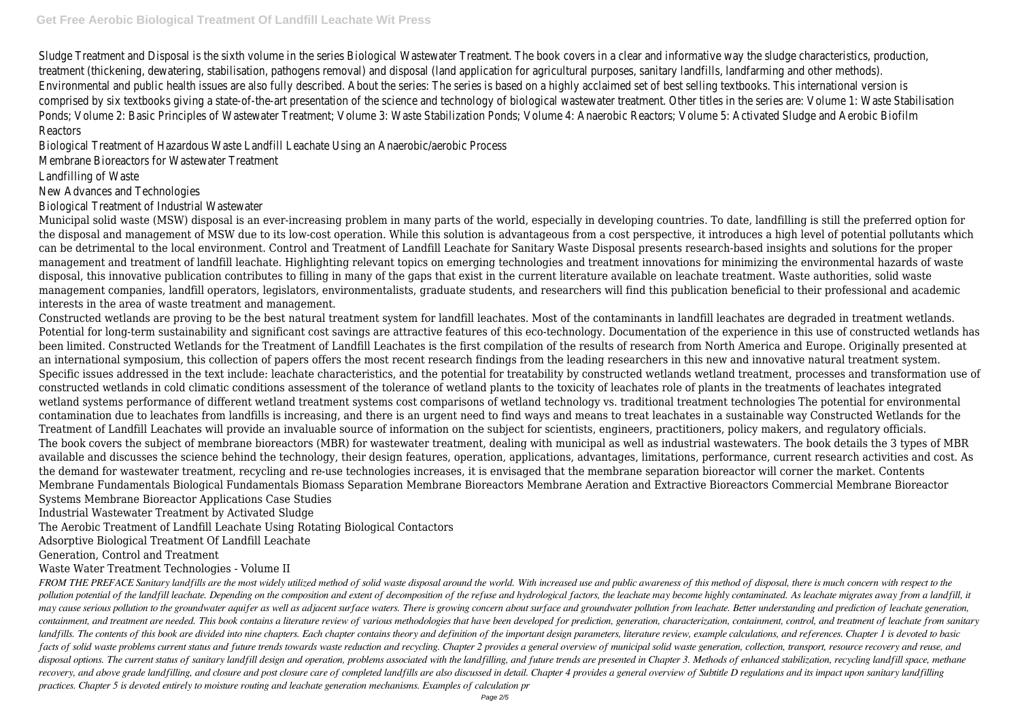Sludge Treatment and Disposal is the sixth volume in the series Biological Wastewater Treatment. The book covers in a clear and informative way the sludge characteristics, production, production, production, production, pr treatment (thickening, dewatering, stabilisation, pathogens removal) and disposal (land application for agricultural purposes, sanitary landfills, landfarming and other methods). Environmental and public health issues are also fully described. About the series: The series is based on a highly acclaimed set of best selling textbooks. This internation comprised by six textbooks giving a state-of-the-art presentation of the science and technology of biological wastewater treatment. Other titles in the series are: Volu Ponds; Volume 2: Basic Principles of Wastewater Treatment; Volume 3: Waste Stabilization Ponds; Volume 4: Anaerobic Reactors; Volume 5: Activated Sludge and Aerobic Reactors

Biological Treatment of Hazardous Waste Landfill Leachate Using an Anaerobic/aerobic Process

Membrane Bioreactors for Wastewater Treatment

Landfilling of Waste

New Advances and Technologies

Biological Treatment of Industrial Wastewater

Municipal solid waste (MSW) disposal is an ever-increasing problem in many parts of the world, especially in developing countries. To date, landfilling is still the preferred option for the disposal and management of MSW due to its low-cost operation. While this solution is advantageous from a cost perspective, it introduces a high level of potential pollutants which can be detrimental to the local environment. Control and Treatment of Landfill Leachate for Sanitary Waste Disposal presents research-based insights and solutions for the proper management and treatment of landfill leachate. Highlighting relevant topics on emerging technologies and treatment innovations for minimizing the environmental hazards of waste disposal, this innovative publication contributes to filling in many of the gaps that exist in the current literature available on leachate treatment. Waste authorities, solid waste management companies, landfill operators, legislators, environmentalists, graduate students, and researchers will find this publication beneficial to their professional and academic interests in the area of waste treatment and management.

FROM THE PREFACE Sanitary landfills are the most widely utilized method of solid waste disposal around the world. With increased use and public awareness of this method of disposal, there is much concern with respect to th pollution potential of the landfill leachate. Depending on the composition and extent of decomposition of the refuse and hydrological factors, the leachate may become highly contaminated. As leachate migrates away from a l may cause serious pollution to the groundwater aquifer as well as adjacent surface waters. There is growing concern about surface and groundwater pollution from leachate. Better understanding and prediction of leachate gen containment, and treatment are needed. This book contains a literature review of various methodologies that have been developed for prediction, generation, characterization, containment, control, and treatment of leachate landfills. The contents of this book are divided into nine chapters. Each chapter contains theory and definition of the important design parameters, literature review, example calculations, and references. Chapter 1 is dev facts of solid waste problems current status and future trends towards waste reduction and recycling. Chapter 2 provides a general overview of municipal solid waste generation, collection, transport, resource recovery and disposal options. The current status of sanitary landfill design and operation, problems associated with the landfilling, and future trends are presented in Chapter 3. Methods of enhanced stabilization, recycling landfill recovery, and above grade landfilling, and closure and post closure care of completed landfills are also discussed in detail. Chapter 4 provides a general overview of Subtitle D regulations and its impact upon sanitary lan *practices. Chapter 5 is devoted entirely to moisture routing and leachate generation mechanisms. Examples of calculation pr*

Constructed wetlands are proving to be the best natural treatment system for landfill leachates. Most of the contaminants in landfill leachates are degraded in treatment wetlands. Potential for long-term sustainability and significant cost savings are attractive features of this eco-technology. Documentation of the experience in this use of constructed wetlands has been limited. Constructed Wetlands for the Treatment of Landfill Leachates is the first compilation of the results of research from North America and Europe. Originally presented at an international symposium, this collection of papers offers the most recent research findings from the leading researchers in this new and innovative natural treatment system. Specific issues addressed in the text include: leachate characteristics, and the potential for treatability by constructed wetlands wetland treatment, processes and transformation use of constructed wetlands in cold climatic conditions assessment of the tolerance of wetland plants to the toxicity of leachates role of plants in the treatments of leachates integrated wetland systems performance of different wetland treatment systems cost comparisons of wetland technology vs. traditional treatment technologies The potential for environmental contamination due to leachates from landfills is increasing, and there is an urgent need to find ways and means to treat leachates in a sustainable way Constructed Wetlands for the Treatment of Landfill Leachates will provide an invaluable source of information on the subject for scientists, engineers, practitioners, policy makers, and regulatory officials. The book covers the subject of membrane bioreactors (MBR) for wastewater treatment, dealing with municipal as well as industrial wastewaters. The book details the 3 types of MBR available and discusses the science behind the technology, their design features, operation, applications, advantages, limitations, performance, current research activities and cost. As the demand for wastewater treatment, recycling and re-use technologies increases, it is envisaged that the membrane separation bioreactor will corner the market. Contents Membrane Fundamentals Biological Fundamentals Biomass Separation Membrane Bioreactors Membrane Aeration and Extractive Bioreactors Commercial Membrane Bioreactor Systems Membrane Bioreactor Applications Case Studies

Industrial Wastewater Treatment by Activated Sludge

The Aerobic Treatment of Landfill Leachate Using Rotating Biological Contactors

Adsorptive Biological Treatment Of Landfill Leachate

Generation, Control and Treatment

Waste Water Treatment Technologies - Volume II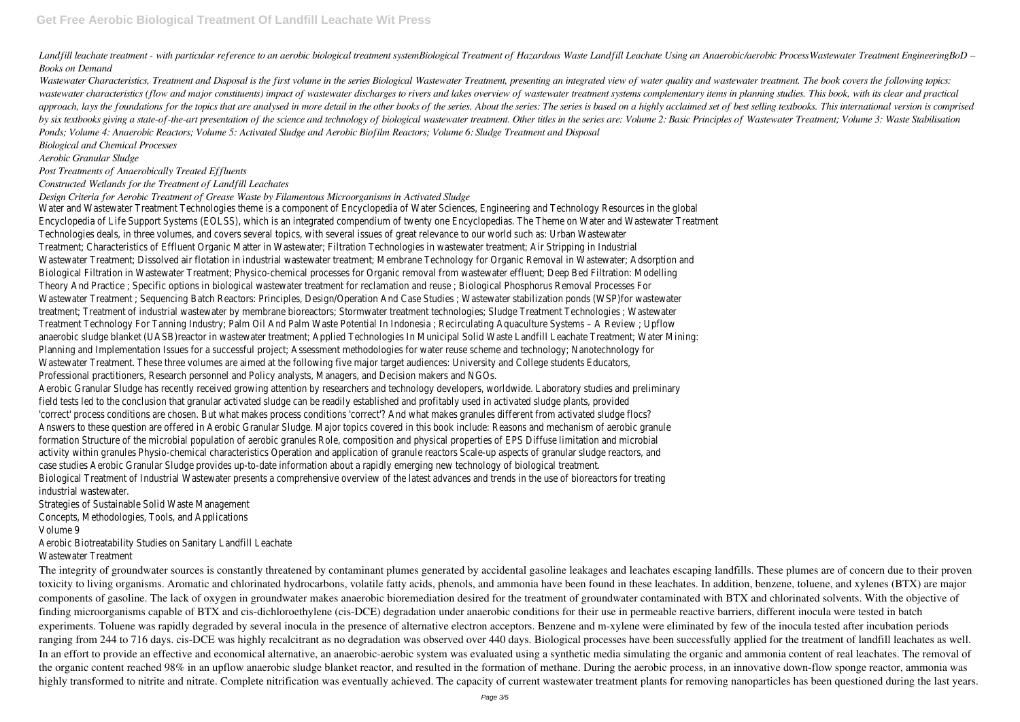Landfill leachate treatment - with particular reference to an aerobic biological treatment systemBiological Treatment of Hazardous Waste Landfill Leachate Using an Anaerobic/aerobic Process Wastewater Treatment Engineering *Books on Demand*

Wastewater Characteristics, Treatment and Disposal is the first volume in the series Biological Wastewater Treatment, presenting an integrated view of water quality and wastewater treatment. The book covers the following t wastewater characteristics (flow and major constituents) impact of wastewater discharges to rivers and lakes overview of wastewater treatment systems complementary items in planning studies. This book, with its clear and p approach, lays the foundations for the topics that are analysed in more detail in the other books of the series. About the series: The series is based on a highly acclaimed set of best selling textbooks. This international by six textbooks giving a state-of-the-art presentation of the science and technology of biological wastewater treatment. Other titles in the series are: Volume 2: Basic Principles of Wastewater Treatment: Volume 3: Waste *Ponds; Volume 4: Anaerobic Reactors; Volume 5: Activated Sludge and Aerobic Biofilm Reactors; Volume 6: Sludge Treatment and Disposal*

*Biological and Chemical Processes*

*Aerobic Granular Sludge*

*Post Treatments of Anaerobically Treated Effluents*

#### *Constructed Wetlands for the Treatment of Landfill Leachates*

*Design Criteria for Aerobic Treatment of Grease Waste by Filamentous Microorganisms in Activated Sludge*

The integrity of groundwater sources is constantly threatened by contaminant plumes generated by accidental gasoline leakages and leachates escaping landfills. These plumes are of concern due to their proven toxicity to living organisms. Aromatic and chlorinated hydrocarbons, volatile fatty acids, phenols, and ammonia have been found in these leachates. In addition, benzene, toluene, and xylenes (BTX) are major components of gasoline. The lack of oxygen in groundwater makes anaerobic bioremediation desired for the treatment of groundwater contaminated with BTX and chlorinated solvents. With the objective of finding microorganisms capable of BTX and cis-dichloroethylene (cis-DCE) degradation under anaerobic conditions for their use in permeable reactive barriers, different inocula were tested in batch experiments. Toluene was rapidly degraded by several inocula in the presence of alternative electron acceptors. Benzene and m-xylene were eliminated by few of the inocula tested after incubation periods ranging from 244 to 716 days. cis-DCE was highly recalcitrant as no degradation was observed over 440 days. Biological processes have been successfully applied for the treatment of landfill leachates as well. In an effort to provide an effective and economical alternative, an anaerobic-aerobic system was evaluated using a synthetic media simulating the organic and ammonia content of real leachates. The removal of the organic content reached 98% in an upflow anaerobic sludge blanket reactor, and resulted in the formation of methane. During the aerobic process, in an innovative down-flow sponge reactor, ammonia was highly transformed to nitrite and nitrate. Complete nitrification was eventually achieved. The capacity of current wastewater treatment plants for removing nanoparticles has been questioned during the last years.

Water and Wastewater Treatment Technologies theme is a component of Encyclopedia of Water Sciences, Engineering and Technology Resources in the global Encyclopedia of Life Support Systems (EOLSS), which is an integrated compendium of twenty one Encyclopedias. The Theme on Water and Wastewater Treatment Technologies deals, in three volumes, and covers several topics, with several issues of great relevance to our world such as: Urban Wastewater Treatment; Characteristics of Effluent Organic Matter in Wastewater; Filtration Technologies in wastewater treatment; Air Stripping in Industrial Wastewater Treatment; Dissolved air flotation in industrial wastewater treatment; Membrane Technology for Organic Removal in Wastewater; Adsorption and Biological Filtration in Wastewater Treatment; Physico-chemical processes for Organic removal from wastewater effluent; Deep Bed Filtration: Modelling Theory And Practice ; Specific options in biological wastewater treatment for reclamation and reuse ; Biological Phosphorus Removal Processes For Wastewater Treatment ; Sequencing Batch Reactors: Principles, Design/Operation And Case Studies ; Wastewater stabilization ponds (WSP)for wastewater treatment; Treatment of industrial wastewater by membrane bioreactors; Stormwater treatment technologies; Sludge Treatment Technologies ; Wastewater Treatment Technology For Tanning Industry; Palm Oil And Palm Waste Potential In Indonesia ; Recirculating Aquaculture Systems – A Review ; Upflow anaerobic sludge blanket (UASB)reactor in wastewater treatment; Applied Technologies In Municipal Solid Waste Landfill Leachate Treatment; Water Mining: Planning and Implementation Issues for a successful project; Assessment methodologies for water reuse scheme and technology; Nanotechnology for Wastewater Treatment. These three volumes are aimed at the following five major target audiences: University and College students Educators, Professional practitioners, Research personnel and Policy analysts, Managers, and Decision makers and NGOs.

Aerobic Granular Sludge has recently received growing attention by researchers and technology developers, worldwide. Laboratory studies and preliminary field tests led to the conclusion that granular activated sludge can be readily established and profitably used in activated sludge plants, provided 'correct' process conditions are chosen. But what makes process conditions 'correct'? And what makes granules different from activated sludge flocs? Answers to these question are offered in Aerobic Granular Sludge. Major topics covered in this book include: Reasons and mechanism of aerobic granule formation Structure of the microbial population of aerobic granules Role, composition and physical properties of EPS Diffuse limitation and microbial activity within granules Physio-chemical characteristics Operation and application of granule reactors Scale-up aspects of granular sludge reactors, and case studies Aerobic Granular Sludge provides up-to-date information about a rapidly emerging new technology of biological treatment.

Biological Treatment of Industrial Wastewater presents a comprehensive overview of the latest advances and trends in the use of bioreactors for treating industrial wastewater.

Strategies of Sustainable Solid Waste Management

Concepts, Methodologies, Tools, and Applications

Volume 9

Aerobic Biotreatability Studies on Sanitary Landfill Leachate

Wastewater Treatment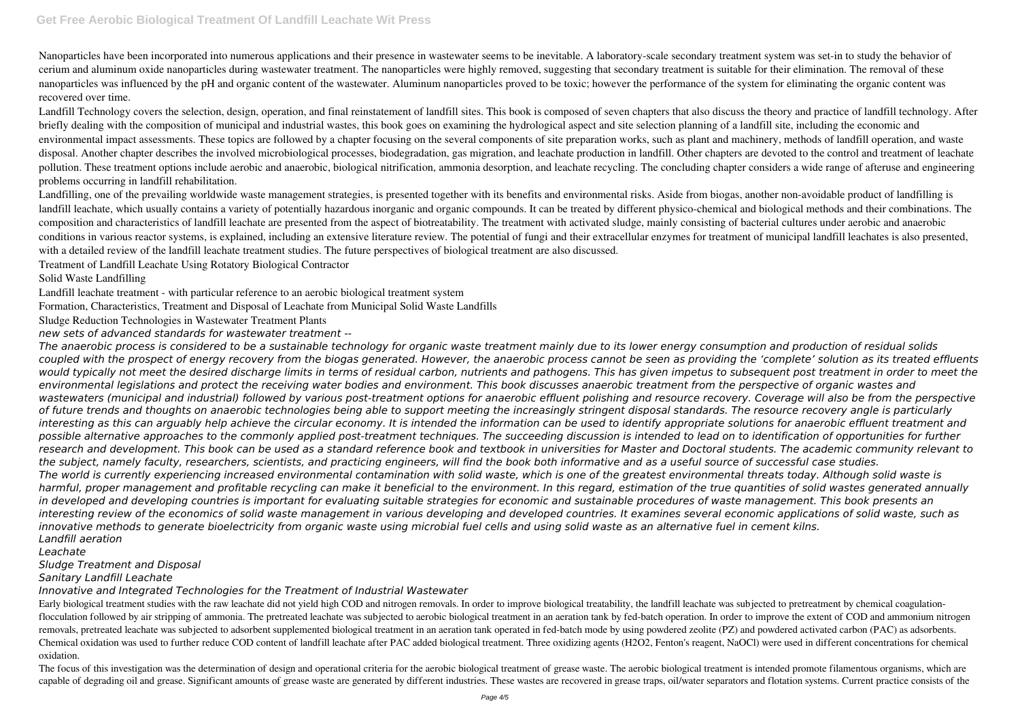Nanoparticles have been incorporated into numerous applications and their presence in wastewater seems to be inevitable. A laboratory-scale secondary treatment system was set-in to study the behavior of cerium and aluminum oxide nanoparticles during wastewater treatment. The nanoparticles were highly removed, suggesting that secondary treatment is suitable for their elimination. The removal of these nanoparticles was influenced by the pH and organic content of the wastewater. Aluminum nanoparticles proved to be toxic; however the performance of the system for eliminating the organic content was recovered over time.

Landfill Technology covers the selection, design, operation, and final reinstatement of landfill sites. This book is composed of seven chapters that also discuss the theory and practice of landfill technology. After briefly dealing with the composition of municipal and industrial wastes, this book goes on examining the hydrological aspect and site selection planning of a landfill site, including the economic and environmental impact assessments. These topics are followed by a chapter focusing on the several components of site preparation works, such as plant and machinery, methods of landfill operation, and waste disposal. Another chapter describes the involved microbiological processes, biodegradation, gas migration, and leachate production in landfill. Other chapters are devoted to the control and treatment of leachate pollution. These treatment options include aerobic and anaerobic, biological nitrification, ammonia desorption, and leachate recycling. The concluding chapter considers a wide range of afteruse and engineering problems occurring in landfill rehabilitation.

Landfilling, one of the prevailing worldwide waste management strategies, is presented together with its benefits and environmental risks. Aside from biogas, another non-avoidable product of landfilling is landfill leachate, which usually contains a variety of potentially hazardous inorganic and organic compounds. It can be treated by different physico-chemical and biological methods and their combinations. The composition and characteristics of landfill leachate are presented from the aspect of biotreatability. The treatment with activated sludge, mainly consisting of bacterial cultures under aerobic and anaerobic conditions in various reactor systems, is explained, including an extensive literature review. The potential of fungi and their extracellular enzymes for treatment of municipal landfill leachates is also presented, with a detailed review of the landfill leachate treatment studies. The future perspectives of biological treatment are also discussed.

Treatment of Landfill Leachate Using Rotatory Biological Contractor

Solid Waste Landfilling

Landfill leachate treatment - with particular reference to an aerobic biological treatment system

Formation, Characteristics, Treatment and Disposal of Leachate from Municipal Solid Waste Landfills

Sludge Reduction Technologies in Wastewater Treatment Plants

*new sets of advanced standards for wastewater treatment --*

Early biological treatment studies with the raw leachate did not yield high COD and nitrogen removals. In order to improve biological treatability, the landfill leachate was subjected to pretreatment by chemical coagulatio flocculation followed by air stripping of ammonia. The pretreated leachate was subjected to aerobic biological treatment in an aeration tank by fed-batch operation. In order to improve the extent of COD and ammonium nitrogen removals, pretreated leachate was subjected to adsorbent supplemented biological treatment in an aeration tank operated in fed-batch mode by using powdered zeolite (PZ) and powdered activated carbon (PAC) as adsorbents. Chemical oxidation was used to further reduce COD content of landfill leachate after PAC added biological treatment. Three oxidizing agents (H2O2, Fenton's reagent, NaOCl) were used in different concentrations for chemical oxidation.

The focus of this investigation was the determination of design and operational criteria for the aerobic biological treatment of grease waste. The aerobic biological treatment is intended promote filamentous organisms, whi capable of degrading oil and grease. Significant amounts of grease waste are generated by different industries. These wastes are recovered in grease traps, oil/water separators and flotation systems. Current practice consi

*The anaerobic process is considered to be a sustainable technology for organic waste treatment mainly due to its lower energy consumption and production of residual solids coupled with the prospect of energy recovery from the biogas generated. However, the anaerobic process cannot be seen as providing the 'complete' solution as its treated effluents* would typically not meet the desired discharge limits in terms of residual carbon, nutrients and pathogens. This has given impetus to subsequent post treatment in order to meet the *environmental legislations and protect the receiving water bodies and environment. This book discusses anaerobic treatment from the perspective of organic wastes and wastewaters (municipal and industrial) followed by various post-treatment options for anaerobic effluent polishing and resource recovery. Coverage will also be from the perspective of future trends and thoughts on anaerobic technologies being able to support meeting the increasingly stringent disposal standards. The resource recovery angle is particularly interesting as this can arguably help achieve the circular economy. It is intended the information can be used to identify appropriate solutions for anaerobic effluent treatment and possible alternative approaches to the commonly applied post-treatment techniques. The succeeding discussion is intended to lead on to identification of opportunities for further research and development. This book can be used as a standard reference book and textbook in universities for Master and Doctoral students. The academic community relevant to the subject, namely faculty, researchers, scientists, and practicing engineers, will find the book both informative and as a useful source of successful case studies. The world is currently experiencing increased environmental contamination with solid waste, which is one of the greatest environmental threats today. Although solid waste is harmful, proper management and profitable recycling can make it beneficial to the environment. In this regard, estimation of the true quantities of solid wastes generated annually in developed and developing countries is important for evaluating suitable strategies for economic and sustainable procedures of waste management. This book presents an interesting review of the economics of solid waste management in various developing and developed countries. It examines several economic applications of solid waste, such as innovative methods to generate bioelectricity from organic waste using microbial fuel cells and using solid waste as an alternative fuel in cement kilns. Landfill aeration*

### *Leachate*

*Sludge Treatment and Disposal*

*Sanitary Landfill Leachate*

*Innovative and Integrated Technologies for the Treatment of Industrial Wastewater*